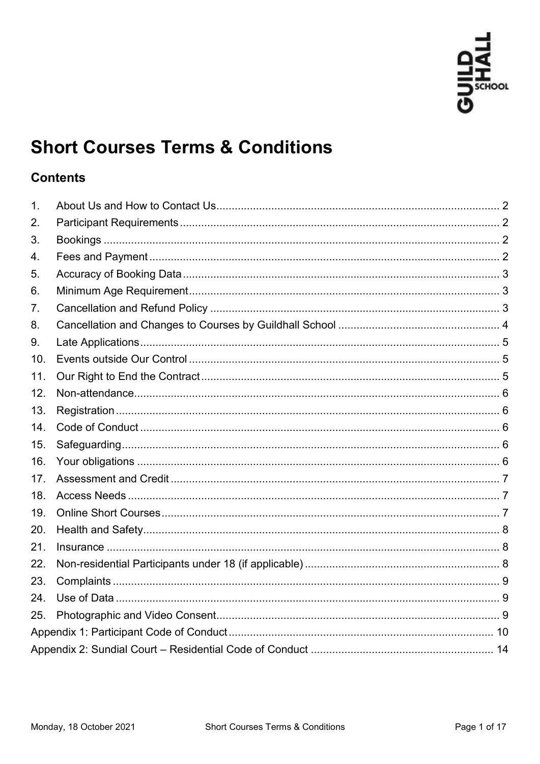

# **Short Courses Terms & Conditions**

# **Contents**

| $\mathbf{1}$ . |  |  |  |
|----------------|--|--|--|
| 2.             |  |  |  |
| 3.             |  |  |  |
| 4.             |  |  |  |
| 5.             |  |  |  |
| 6.             |  |  |  |
| 7.             |  |  |  |
| 8.             |  |  |  |
| 9.             |  |  |  |
| 10.            |  |  |  |
| 11.            |  |  |  |
| 12.            |  |  |  |
| 13.            |  |  |  |
| 14.            |  |  |  |
| 15.            |  |  |  |
| 16.            |  |  |  |
| 17.            |  |  |  |
| 18.            |  |  |  |
| 19.            |  |  |  |
| 20.            |  |  |  |
| 21.            |  |  |  |
| 22.            |  |  |  |
| 23.            |  |  |  |
| 24.            |  |  |  |
| 25.            |  |  |  |
|                |  |  |  |
|                |  |  |  |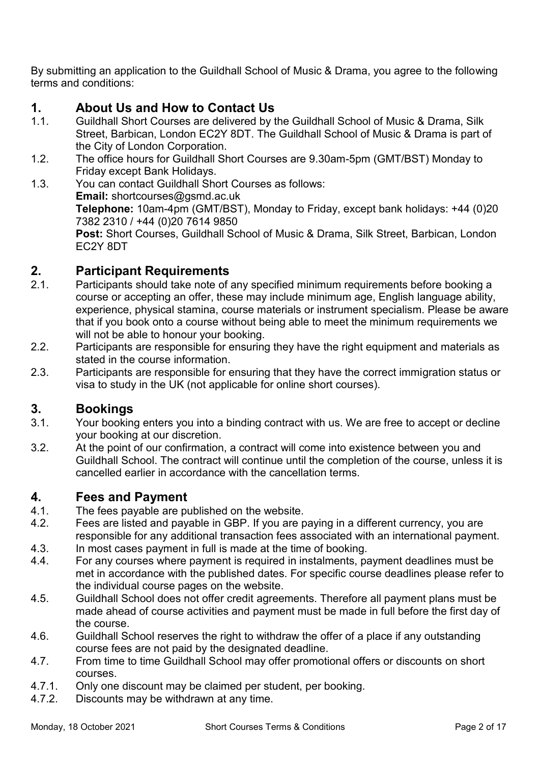By submitting an application to the Guildhall School of Music & Drama, you agree to the following terms and conditions:

# <span id="page-1-0"></span>**1. About Us and How to Contact Us**

- 1.1. Guildhall Short Courses are delivered by the Guildhall School of Music & Drama, Silk Street, Barbican, London EC2Y 8DT. The Guildhall School of Music & Drama is part of the City of London Corporation.
- 1.2. The office hours for Guildhall Short Courses are 9.30am-5pm (GMT/BST) Monday to Friday except Bank Holidays.
- 1.3. You can contact Guildhall Short Courses as follows: **Email:** shortcourses@gsmd.ac.uk **Telephone:** 10am-4pm (GMT/BST), Monday to Friday, except bank holidays: +44 (0)20 7382 2310 / +44 (0)20 7614 9850 **Post:** Short Courses, Guildhall School of Music & Drama, Silk Street, Barbican, London EC2Y 8DT

# <span id="page-1-1"></span>**2. Participant Requirements**

- 2.1. Participants should take note of any specified minimum requirements before booking a course or accepting an offer, these may include minimum age, English language ability, experience, physical stamina, course materials or instrument specialism. Please be aware that if you book onto a course without being able to meet the minimum requirements we will not be able to honour your booking.
- 2.2. Participants are responsible for ensuring they have the right equipment and materials as stated in the course information.
- 2.3. Participants are responsible for ensuring that they have the correct immigration status or visa to study in the UK (not applicable for online short courses).

# <span id="page-1-2"></span>**3. Bookings**

- 3.1. Your booking enters you into a binding contract with us. We are free to accept or decline your booking at our discretion.
- 3.2. At the point of our confirmation, a contract will come into existence between you and Guildhall School. The contract will continue until the completion of the course, unless it is cancelled earlier in accordance with the cancellation terms.

#### <span id="page-1-3"></span>**4. Fees and Payment**

- 4.1. The fees payable are published on the website.
- 4.2. Fees are listed and payable in GBP. If you are paying in a different currency, you are responsible for any additional transaction fees associated with an international payment.
- 4.3. In most cases payment in full is made at the time of booking.
- 4.4. For any courses where payment is required in instalments, payment deadlines must be met in accordance with the published dates. For specific course deadlines please refer to the individual course pages on the website.
- 4.5. Guildhall School does not offer credit agreements. Therefore all payment plans must be made ahead of course activities and payment must be made in full before the first day of the course.
- 4.6. Guildhall School reserves the right to withdraw the offer of a place if any outstanding course fees are not paid by the designated deadline.
- 4.7. From time to time Guildhall School may offer promotional offers or discounts on short courses.
- 4.7.1. Only one discount may be claimed per student, per booking.
- 4.7.2. Discounts may be withdrawn at any time.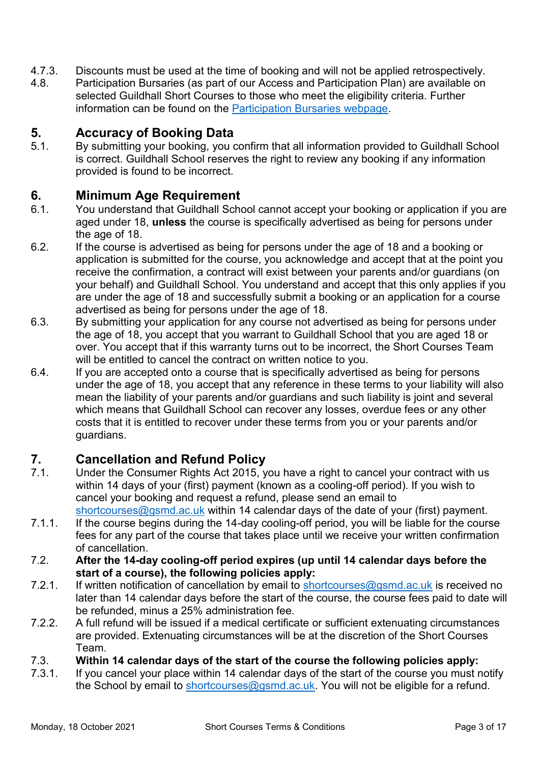- 4.7.3. Discounts must be used at the time of booking and will not be applied retrospectively.
- 4.8. Participation Bursaries (as part of our Access and Participation Plan) are available on selected Guildhall Short Courses to those who meet the eligibility criteria. Further information can be found on the [Participation Bursaries webpage.](https://www.gsmd.ac.uk/youth_adult_learning/short_courses_summer_schools/participation_bursaries/)

## <span id="page-2-0"></span>**5. Accuracy of Booking Data**

5.1. By submitting your booking, you confirm that all information provided to Guildhall School is correct. Guildhall School reserves the right to review any booking if any information provided is found to be incorrect.

#### <span id="page-2-1"></span>**6. Minimum Age Requirement**

- 6.1. You understand that Guildhall School cannot accept your booking or application if you are aged under 18, **unless** the course is specifically advertised as being for persons under the age of 18.
- 6.2. If the course is advertised as being for persons under the age of 18 and a booking or application is submitted for the course, you acknowledge and accept that at the point you receive the confirmation, a contract will exist between your parents and/or guardians (on your behalf) and Guildhall School. You understand and accept that this only applies if you are under the age of 18 and successfully submit a booking or an application for a course advertised as being for persons under the age of 18.
- 6.3. By submitting your application for any course not advertised as being for persons under the age of 18, you accept that you warrant to Guildhall School that you are aged 18 or over. You accept that if this warranty turns out to be incorrect, the Short Courses Team will be entitled to cancel the contract on written notice to you.
- 6.4. If you are accepted onto a course that is specifically advertised as being for persons under the age of 18, you accept that any reference in these terms to your liability will also mean the liability of your parents and/or guardians and such liability is joint and several which means that Guildhall School can recover any losses, overdue fees or any other costs that it is entitled to recover under these terms from you or your parents and/or guardians.

# <span id="page-2-2"></span>**7. Cancellation and Refund Policy**

- 7.1. Under the Consumer Rights Act 2015, you have a right to cancel your contract with us within 14 days of your (first) payment (known as a cooling-off period). If you wish to cancel your booking and request a refund, please send an email to [shortcourses@gsmd.ac.uk](mailto:shortcourses@gsmd.ac.uk) within 14 calendar days of the date of your (first) payment.
- <span id="page-2-3"></span>7.1.1. If the course begins during the 14-day cooling-off period, you will be liable for the course fees for any part of the course that takes place until we receive your written confirmation of cancellation.
- 7.2. **After the 14-day cooling-off period expires (up until 14 calendar days before the start of a course), the following policies apply:**
- 7.2.1. If written notification of cancellation by email to [shortcourses@gsmd.ac.uk](mailto:shortcourses@gsmd.ac.uk) is received no later than 14 calendar days before the start of the course, the course fees paid to date will be refunded, minus a 25% administration fee.
- 7.2.2. A full refund will be issued if a medical certificate or sufficient extenuating circumstances are provided. Extenuating circumstances will be at the discretion of the Short Courses Team.
- 7.3. **Within 14 calendar days of the start of the course the following policies apply:**
- 7.3.1. If you cancel your place within 14 calendar days of the start of the course you must notify the School by email to [shortcourses@gsmd.ac.uk.](mailto:shortcourses@gsmd.ac.uk) You will not be eligible for a refund.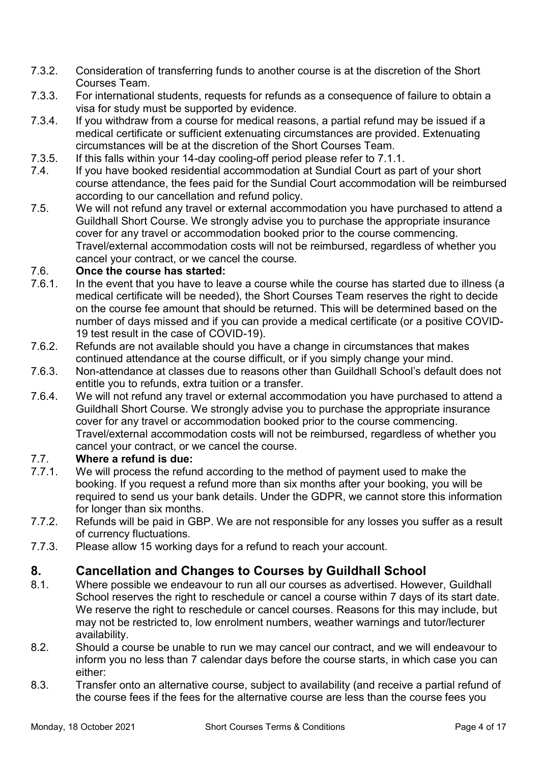- 7.3.2. Consideration of transferring funds to another course is at the discretion of the Short Courses Team.
- 7.3.3. For international students, requests for refunds as a consequence of failure to obtain a visa for study must be supported by evidence.
- 7.3.4. If you withdraw from a course for medical reasons, a partial refund may be issued if a medical certificate or sufficient extenuating circumstances are provided. Extenuating circumstances will be at the discretion of the Short Courses Team.
- 7.3.5. If this falls within your 14-day cooling-off period please refer to [7.1.1.](#page-2-3)
- 7.4. If you have booked residential accommodation at Sundial Court as part of your short course attendance, the fees paid for the Sundial Court accommodation will be reimbursed according to our cancellation and refund policy.
- 7.5. We will not refund any travel or external accommodation you have purchased to attend a Guildhall Short Course. We strongly advise you to purchase the appropriate insurance cover for any travel or accommodation booked prior to the course commencing. Travel/external accommodation costs will not be reimbursed, regardless of whether you cancel your contract, or we cancel the course.

#### 7.6. **Once the course has started:**

- 7.6.1. In the event that you have to leave a course while the course has started due to illness (a medical certificate will be needed), the Short Courses Team reserves the right to decide on the course fee amount that should be returned. This will be determined based on the number of days missed and if you can provide a medical certificate (or a positive COVID-19 test result in the case of COVID-19).
- 7.6.2. Refunds are not available should you have a change in circumstances that makes continued attendance at the course difficult, or if you simply change your mind.
- 7.6.3. Non-attendance at classes due to reasons other than Guildhall School's default does not entitle you to refunds, extra tuition or a transfer.
- 7.6.4. We will not refund any travel or external accommodation you have purchased to attend a Guildhall Short Course. We strongly advise you to purchase the appropriate insurance cover for any travel or accommodation booked prior to the course commencing. Travel/external accommodation costs will not be reimbursed, regardless of whether you cancel your contract, or we cancel the course.

#### 7.7. **Where a refund is due:**

- 7.7.1. We will process the refund according to the method of payment used to make the booking. If you request a refund more than six months after your booking, you will be required to send us your bank details. Under the GDPR, we cannot store this information for longer than six months.
- 7.7.2. Refunds will be paid in GBP. We are not responsible for any losses you suffer as a result of currency fluctuations.
- 7.7.3. Please allow 15 working days for a refund to reach your account.

#### <span id="page-3-0"></span>**8. Cancellation and Changes to Courses by Guildhall School**

- 8.1. Where possible we endeavour to run all our courses as advertised. However, Guildhall School reserves the right to reschedule or cancel a course within 7 days of its start date. We reserve the right to reschedule or cancel courses. Reasons for this may include, but may not be restricted to, low enrolment numbers, weather warnings and tutor/lecturer availability.
- 8.2. Should a course be unable to run we may cancel our contract, and we will endeavour to inform you no less than 7 calendar days before the course starts, in which case you can either:
- 8.3. Transfer onto an alternative course, subject to availability (and receive a partial refund of the course fees if the fees for the alternative course are less than the course fees you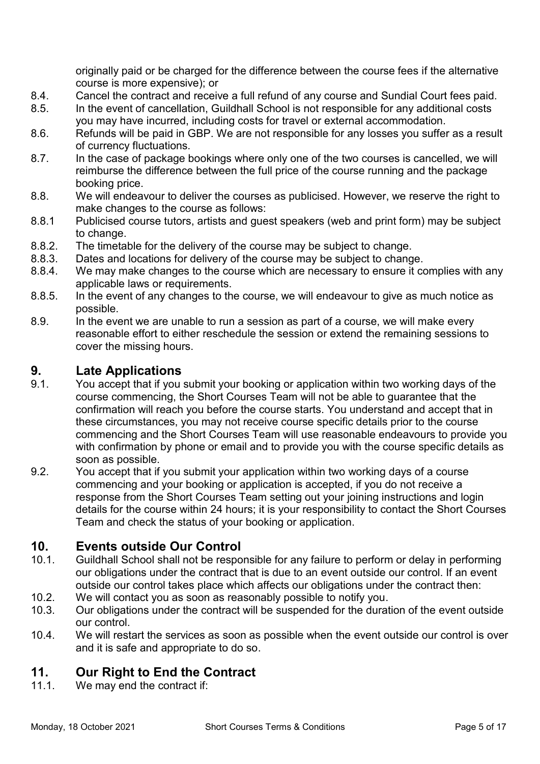originally paid or be charged for the difference between the course fees if the alternative course is more expensive); or

- 8.4. Cancel the contract and receive a full refund of any course and Sundial Court fees paid.
- 8.5. In the event of cancellation, Guildhall School is not responsible for any additional costs you may have incurred, including costs for travel or external accommodation.
- 8.6. Refunds will be paid in GBP. We are not responsible for any losses you suffer as a result of currency fluctuations.
- 8.7. In the case of package bookings where only one of the two courses is cancelled, we will reimburse the difference between the full price of the course running and the package booking price.
- 8.8. We will endeavour to deliver the courses as publicised. However, we reserve the right to make changes to the course as follows:
- 8.8.1 Publicised course tutors, artists and guest speakers (web and print form) may be subject to change.
- 8.8.2. The timetable for the delivery of the course may be subject to change.
- 8.8.3. Dates and locations for delivery of the course may be subject to change.
- 8.8.4. We may make changes to the course which are necessary to ensure it complies with any applicable laws or requirements.
- 8.8.5. In the event of any changes to the course, we will endeavour to give as much notice as possible.
- 8.9. In the event we are unable to run a session as part of a course, we will make every reasonable effort to either reschedule the session or extend the remaining sessions to cover the missing hours.

#### <span id="page-4-0"></span>**9. Late Applications**

- 9.1. You accept that if you submit your booking or application within two working days of the course commencing, the Short Courses Team will not be able to guarantee that the confirmation will reach you before the course starts. You understand and accept that in these circumstances, you may not receive course specific details prior to the course commencing and the Short Courses Team will use reasonable endeavours to provide you with confirmation by phone or email and to provide you with the course specific details as soon as possible.
- 9.2. You accept that if you submit your application within two working days of a course commencing and your booking or application is accepted, if you do not receive a response from the Short Courses Team setting out your joining instructions and login details for the course within 24 hours; it is your responsibility to contact the Short Courses Team and check the status of your booking or application.

#### <span id="page-4-1"></span>**10. Events outside Our Control**

- 10.1. Guildhall School shall not be responsible for any failure to perform or delay in performing our obligations under the contract that is due to an event outside our control. If an event outside our control takes place which affects our obligations under the contract then:
- 10.2. We will contact you as soon as reasonably possible to notify you.
- 10.3. Our obligations under the contract will be suspended for the duration of the event outside our control.
- 10.4. We will restart the services as soon as possible when the event outside our control is over and it is safe and appropriate to do so.

# <span id="page-4-2"></span>**11. Our Right to End the Contract**

11.1. We may end the contract if: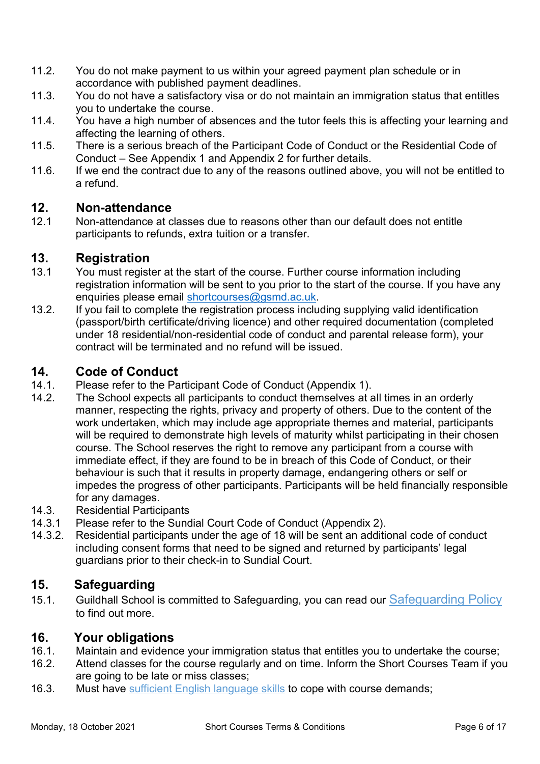- 11.2. You do not make payment to us within your agreed payment plan schedule or in accordance with published payment deadlines.
- 11.3. You do not have a satisfactory visa or do not maintain an immigration status that entitles you to undertake the course.
- 11.4. You have a high number of absences and the tutor feels this is affecting your learning and affecting the learning of others.
- 11.5. There is a serious breach of the Participant Code of Conduct or the Residential Code of Conduct – See Appendix 1 and Appendix 2 for further details.
- 11.6. If we end the contract due to any of the reasons outlined above, you will not be entitled to a refund.

#### <span id="page-5-0"></span>**12. Non-attendance**

12.1 Non-attendance at classes due to reasons other than our default does not entitle participants to refunds, extra tuition or a transfer.

# <span id="page-5-1"></span>**13. Registration**

- 13.1 You must register at the start of the course. Further course information including registration information will be sent to you prior to the start of the course. If you have any enquiries please email [shortcourses@gsmd.ac.uk.](mailto:shortcourses@gsmd.ac.uk)
- 13.2. If you fail to complete the registration process including supplying valid identification (passport/birth certificate/driving licence) and other required documentation (completed under 18 residential/non-residential code of conduct and parental release form), your contract will be terminated and no refund will be issued.

# <span id="page-5-2"></span>**14. Code of Conduct**

- 14.1. Please refer to the Participant Code of Conduct (Appendix 1).
- 14.2. The School expects all participants to conduct themselves at all times in an orderly manner, respecting the rights, privacy and property of others. Due to the content of the work undertaken, which may include age appropriate themes and material, participants will be required to demonstrate high levels of maturity whilst participating in their chosen course. The School reserves the right to remove any participant from a course with immediate effect, if they are found to be in breach of this Code of Conduct, or their behaviour is such that it results in property damage, endangering others or self or impedes the progress of other participants. Participants will be held financially responsible for any damages.
- 14.3. Residential Participants
- 14.3.1 Please refer to the Sundial Court Code of Conduct (Appendix 2).
- 14.3.2. Residential participants under the age of 18 will be sent an additional code of conduct including consent forms that need to be signed and returned by participants' legal guardians prior to their check-in to Sundial Court.

# <span id="page-5-3"></span>**15. Safeguarding**

15.1. Guildhall School is committed to Safeguarding, you can read our [Safeguarding Policy](https://www.gsmd.ac.uk/fileadmin/user_upload/files/Policies_and_Reports/Safeguarding_Policy_2020.pdf) to find out more.

#### <span id="page-5-4"></span>**16. Your obligations**

- 16.1. Maintain and evidence your immigration status that entitles you to undertake the course;
- 16.2. Attend classes for the course regularly and on time. Inform the Short Courses Team if you are going to be late or miss classes;
- 16.3. Must have [sufficient English language skills](https://www.gsmd.ac.uk/youth_adult_learning/short_courses_summer_schools/short_course_faqs/#c34749) to cope with course demands;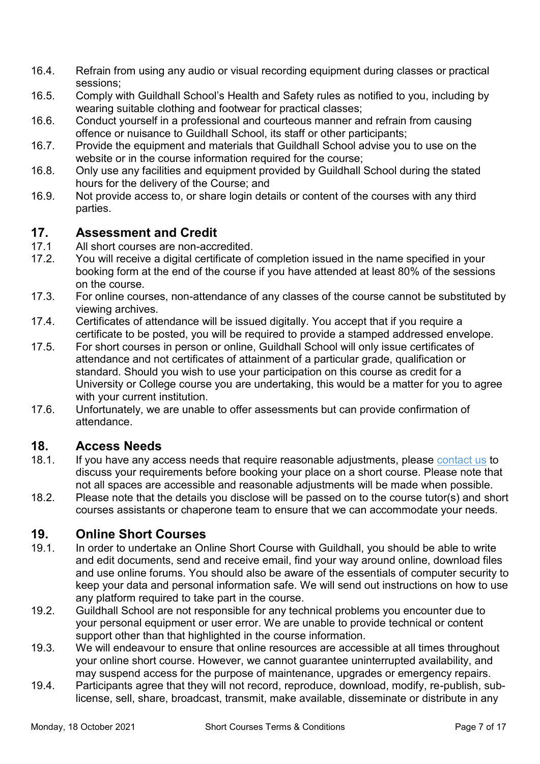- 16.4. Refrain from using any audio or visual recording equipment during classes or practical sessions;
- 16.5. Comply with Guildhall School's Health and Safety rules as notified to you, including by wearing suitable clothing and footwear for practical classes;
- 16.6. Conduct yourself in a professional and courteous manner and refrain from causing offence or nuisance to Guildhall School, its staff or other participants;
- 16.7. Provide the equipment and materials that Guildhall School advise you to use on the website or in the course information required for the course;
- 16.8. Only use any facilities and equipment provided by Guildhall School during the stated hours for the delivery of the Course; and
- 16.9. Not provide access to, or share login details or content of the courses with any third parties.

#### <span id="page-6-0"></span>**17. Assessment and Credit**

- 17.1 All short courses are non-accredited.
- 17.2. You will receive a digital certificate of completion issued in the name specified in your booking form at the end of the course if you have attended at least 80% of the sessions on the course.
- 17.3. For online courses, non-attendance of any classes of the course cannot be substituted by viewing archives.
- 17.4. Certificates of attendance will be issued digitally. You accept that if you require a certificate to be posted, you will be required to provide a stamped addressed envelope.
- 17.5. For short courses in person or online, Guildhall School will only issue certificates of attendance and not certificates of attainment of a particular grade, qualification or standard. Should you wish to use your participation on this course as credit for a University or College course you are undertaking, this would be a matter for you to agree with your current institution.
- 17.6. Unfortunately, we are unable to offer assessments but can provide confirmation of attendance.

# <span id="page-6-1"></span>**18. Access Needs**

- 18.1. If you have any access needs that require reasonable adjustments, please [contact us](mailto:shortcourses@gsmd.ac.uk) to discuss your requirements before booking your place on a short course. Please note that not all spaces are accessible and reasonable adjustments will be made when possible.
- 18.2. Please note that the details you disclose will be passed on to the course tutor(s) and short courses assistants or chaperone team to ensure that we can accommodate your needs.

# <span id="page-6-2"></span>**19. Online Short Courses**

- 19.1. In order to undertake an Online Short Course with Guildhall, you should be able to write and edit documents, send and receive email, find your way around online, download files and use online forums. You should also be aware of the essentials of computer security to keep your data and personal information safe. We will send out instructions on how to use any platform required to take part in the course.
- 19.2. Guildhall School are not responsible for any technical problems you encounter due to your personal equipment or user error. We are unable to provide technical or content support other than that highlighted in the course information.
- 19.3. We will endeavour to ensure that online resources are accessible at all times throughout your online short course. However, we cannot guarantee uninterrupted availability, and may suspend access for the purpose of maintenance, upgrades or emergency repairs.
- 19.4. Participants agree that they will not record, reproduce, download, modify, re-publish, sublicense, sell, share, broadcast, transmit, make available, disseminate or distribute in any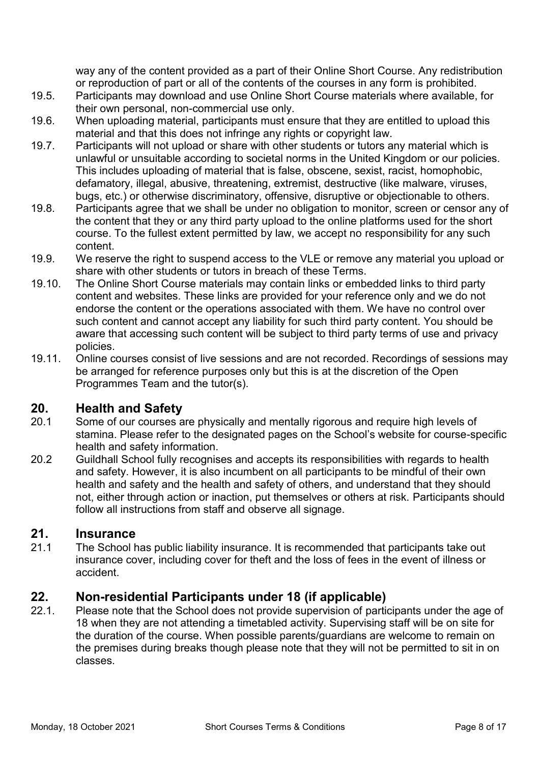way any of the content provided as a part of their Online Short Course. Any redistribution or reproduction of part or all of the contents of the courses in any form is prohibited.

- 19.5. Participants may download and use Online Short Course materials where available, for their own personal, non-commercial use only.
- 19.6. When uploading material, participants must ensure that they are entitled to upload this material and that this does not infringe any rights or copyright law.
- 19.7. Participants will not upload or share with other students or tutors any material which is unlawful or unsuitable according to societal norms in the United Kingdom or our policies. This includes uploading of material that is false, obscene, sexist, racist, homophobic, defamatory, illegal, abusive, threatening, extremist, destructive (like malware, viruses, bugs, etc.) or otherwise discriminatory, offensive, disruptive or objectionable to others.
- 19.8. Participants agree that we shall be under no obligation to monitor, screen or censor any of the content that they or any third party upload to the online platforms used for the short course. To the fullest extent permitted by law, we accept no responsibility for any such content.
- 19.9. We reserve the right to suspend access to the VLE or remove any material you upload or share with other students or tutors in breach of these Terms.
- 19.10. The Online Short Course materials may contain links or embedded links to third party content and websites. These links are provided for your reference only and we do not endorse the content or the operations associated with them. We have no control over such content and cannot accept any liability for such third party content. You should be aware that accessing such content will be subject to third party terms of use and privacy policies.
- 19.11. Online courses consist of live sessions and are not recorded. Recordings of sessions may be arranged for reference purposes only but this is at the discretion of the Open Programmes Team and the tutor(s).

#### <span id="page-7-0"></span>**20. Health and Safety**

- 20.1 Some of our courses are physically and mentally rigorous and require high levels of stamina. Please refer to the designated pages on the School's website for course-specific health and safety information.
- 20.2 Guildhall School fully recognises and accepts its responsibilities with regards to health and safety. However, it is also incumbent on all participants to be mindful of their own health and safety and the health and safety of others, and understand that they should not, either through action or inaction, put themselves or others at risk. Participants should follow all instructions from staff and observe all signage.

#### <span id="page-7-1"></span>**21. Insurance**

21.1 The School has public liability insurance. It is recommended that participants take out insurance cover, including cover for theft and the loss of fees in the event of illness or accident.

# <span id="page-7-2"></span>**22. Non-residential Participants under 18 (if applicable)**

22.1. Please note that the School does not provide supervision of participants under the age of 18 when they are not attending a timetabled activity. Supervising staff will be on site for the duration of the course. When possible parents/guardians are welcome to remain on the premises during breaks though please note that they will not be permitted to sit in on classes.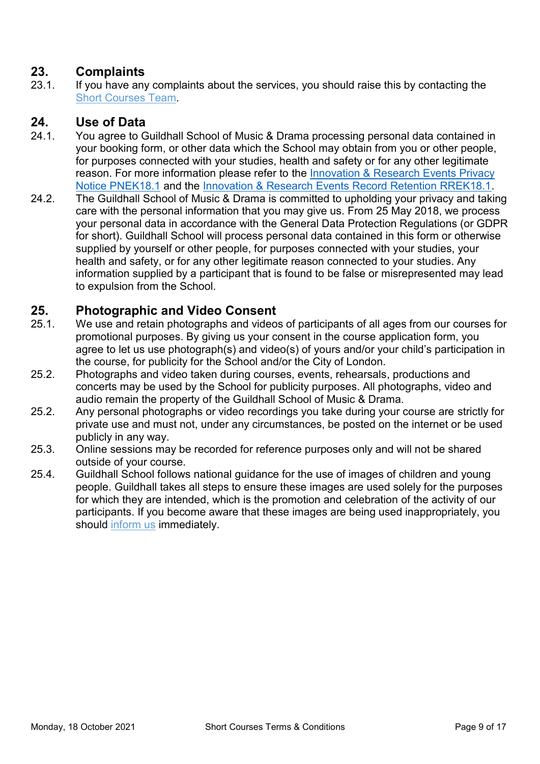## <span id="page-8-0"></span>**23. Complaints**

23.1. If you have any complaints about the services, you should raise this by contacting the [Short Courses](mailto:shortcourses@gsmd.ac.uk) Team.

#### <span id="page-8-1"></span>**24. Use of Data**

- 24.1. You agree to Guildhall School of Music & Drama processing personal data contained in your booking form, or other data which the School may obtain from you or other people, for purposes connected with your studies, health and safety or for any other legitimate reason. For more information please refer to [the Innovation & Research Events Privacy](https://www.gsmd.ac.uk/fileadmin/user_upload/files/Policies_and_Reports/GDPR/Accessible/PNEK18.1_Innovation___Research_Events_Privacy_Notice_UPDATED_July_21.pdf)  [Notice PNEK18.1](https://www.gsmd.ac.uk/fileadmin/user_upload/files/Policies_and_Reports/GDPR/Accessible/PNEK18.1_Innovation___Research_Events_Privacy_Notice_UPDATED_July_21.pdf) and the [Innovation & Research Events Record Retention RREK18.1.](https://www.gsmd.ac.uk/fileadmin/user_upload/files/Policies_and_Reports/GDPR/Accessible/Retention_schedule_Innovation____Research_Events_UPDATED_July21.pdf)
- 24.2. The Guildhall School of Music & Drama is committed to upholding your privacy and taking care with the personal information that you may give us. From 25 May 2018, we process your personal data in accordance with the General Data Protection Regulations (or GDPR for short). Guildhall School will process personal data contained in this form or otherwise supplied by yourself or other people, for purposes connected with your studies, your health and safety, or for any other legitimate reason connected to your studies. Any information supplied by a participant that is found to be false or misrepresented may lead to expulsion from the School.

#### <span id="page-8-2"></span>**25. Photographic and Video Consent**

- 25.1. We use and retain photographs and videos of participants of all ages from our courses for promotional purposes. By giving us your consent in the course application form, you agree to let us use photograph(s) and video(s) of yours and/or your child's participation in the course, for publicity for the School and/or the City of London.
- 25.2. Photographs and video taken during courses, events, rehearsals, productions and concerts may be used by the School for publicity purposes. All photographs, video and audio remain the property of the Guildhall School of Music & Drama.
- 25.2. Any personal photographs or video recordings you take during your course are strictly for private use and must not, under any circumstances, be posted on the internet or be used publicly in any way.
- 25.3. Online sessions may be recorded for reference purposes only and will not be shared outside of your course.
- 25.4. Guildhall School follows national guidance for the use of images of children and young people. Guildhall takes all steps to ensure these images are used solely for the purposes for which they are intended, which is the promotion and celebration of the activity of our participants. If you become aware that these images are being used inappropriately, you should [inform us](mailto:shortcourses@gsmd.ac.uk?subject=Safeguarding) immediately.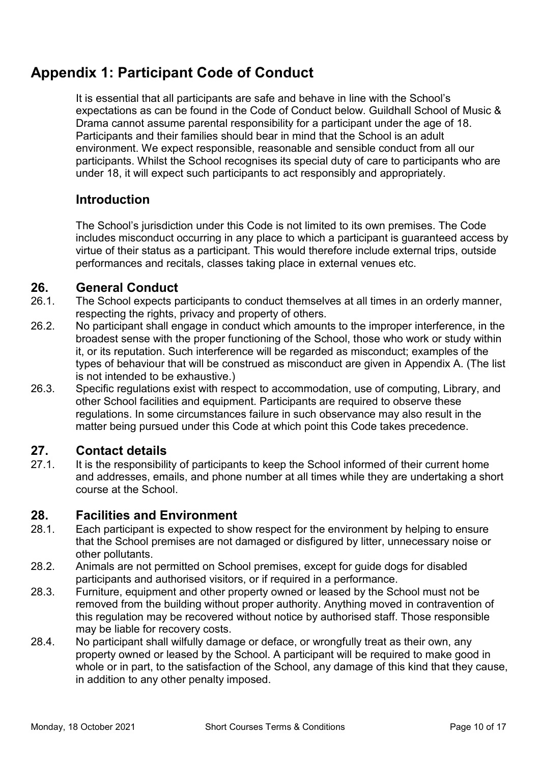# <span id="page-9-0"></span>**Appendix 1: Participant Code of Conduct**

It is essential that all participants are safe and behave in line with the School's expectations as can be found in the Code of Conduct below. Guildhall School of Music & Drama cannot assume parental responsibility for a participant under the age of 18. Participants and their families should bear in mind that the School is an adult environment. We expect responsible, reasonable and sensible conduct from all our participants. Whilst the School recognises its special duty of care to participants who are under 18, it will expect such participants to act responsibly and appropriately.

# **Introduction**

The School's jurisdiction under this Code is not limited to its own premises. The Code includes misconduct occurring in any place to which a participant is guaranteed access by virtue of their status as a participant. This would therefore include external trips, outside performances and recitals, classes taking place in external venues etc.

#### **26. General Conduct**

- 26.1. The School expects participants to conduct themselves at all times in an orderly manner, respecting the rights, privacy and property of others.
- 26.2. No participant shall engage in conduct which amounts to the improper interference, in the broadest sense with the proper functioning of the School, those who work or study within it, or its reputation. Such interference will be regarded as misconduct; examples of the types of behaviour that will be construed as misconduct are given in Appendix A. (The list is not intended to be exhaustive.)
- 26.3. Specific regulations exist with respect to accommodation, use of computing, Library, and other School facilities and equipment. Participants are required to observe these regulations. In some circumstances failure in such observance may also result in the matter being pursued under this Code at which point this Code takes precedence.

#### **27. Contact details**

27.1. It is the responsibility of participants to keep the School informed of their current home and addresses, emails, and phone number at all times while they are undertaking a short course at the School.

#### **28. Facilities and Environment**

- 28.1. Each participant is expected to show respect for the environment by helping to ensure that the School premises are not damaged or disfigured by litter, unnecessary noise or other pollutants.
- 28.2. Animals are not permitted on School premises, except for guide dogs for disabled participants and authorised visitors, or if required in a performance.
- 28.3. Furniture, equipment and other property owned or leased by the School must not be removed from the building without proper authority. Anything moved in contravention of this regulation may be recovered without notice by authorised staff. Those responsible may be liable for recovery costs.
- 28.4. No participant shall wilfully damage or deface, or wrongfully treat as their own, any property owned or leased by the School. A participant will be required to make good in whole or in part, to the satisfaction of the School, any damage of this kind that they cause, in addition to any other penalty imposed.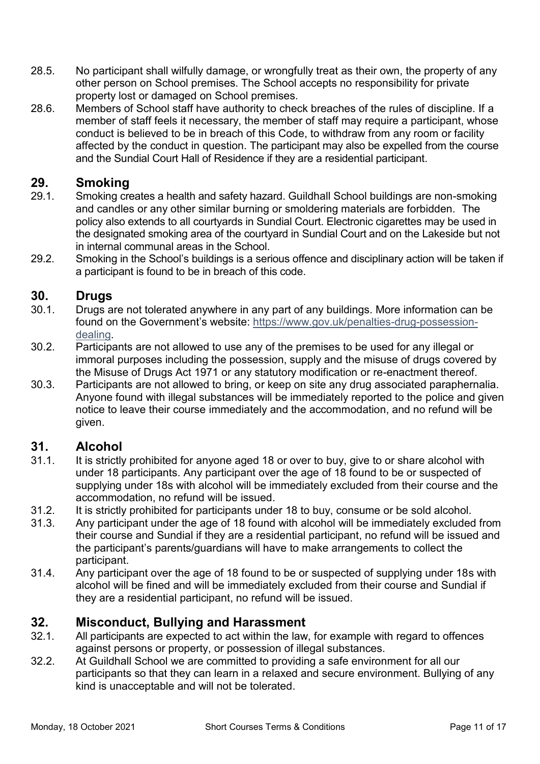- 28.5. No participant shall wilfully damage, or wrongfully treat as their own, the property of any other person on School premises. The School accepts no responsibility for private property lost or damaged on School premises.
- 28.6. Members of School staff have authority to check breaches of the rules of discipline. If a member of staff feels it necessary, the member of staff may require a participant, whose conduct is believed to be in breach of this Code, to withdraw from any room or facility affected by the conduct in question. The participant may also be expelled from the course and the Sundial Court Hall of Residence if they are a residential participant.

#### **29. Smoking**

- 29.1. Smoking creates a health and safety hazard. Guildhall School buildings are non-smoking and candles or any other similar burning or smoldering materials are forbidden. The policy also extends to all courtyards in Sundial Court. Electronic cigarettes may be used in the designated smoking area of the courtyard in Sundial Court and on the Lakeside but not in internal communal areas in the School.
- 29.2. Smoking in the School's buildings is a serious offence and disciplinary action will be taken if a participant is found to be in breach of this code.

#### **30. Drugs**

- 30.1. Drugs are not tolerated anywhere in any part of any buildings. More information can be found on the Government's website: [https://www.gov.uk/penalties-drug-possession](https://www.gov.uk/penalties-drug-possession-dealing)[dealing.](https://www.gov.uk/penalties-drug-possession-dealing)
- 30.2. Participants are not allowed to use any of the premises to be used for any illegal or immoral purposes including the possession, supply and the misuse of drugs covered by the Misuse of Drugs Act 1971 or any statutory modification or re-enactment thereof.
- 30.3. Participants are not allowed to bring, or keep on site any drug associated paraphernalia. Anyone found with illegal substances will be immediately reported to the police and given notice to leave their course immediately and the accommodation, and no refund will be given.

#### **31. Alcohol**

- 31.1. It is strictly prohibited for anyone aged 18 or over to buy, give to or share alcohol with under 18 participants. Any participant over the age of 18 found to be or suspected of supplying under 18s with alcohol will be immediately excluded from their course and the accommodation, no refund will be issued.
- 31.2. It is strictly prohibited for participants under 18 to buy, consume or be sold alcohol.
- 31.3. Any participant under the age of 18 found with alcohol will be immediately excluded from their course and Sundial if they are a residential participant, no refund will be issued and the participant's parents/guardians will have to make arrangements to collect the participant.
- 31.4. Any participant over the age of 18 found to be or suspected of supplying under 18s with alcohol will be fined and will be immediately excluded from their course and Sundial if they are a residential participant, no refund will be issued.

# **32. Misconduct, Bullying and Harassment**

- 32.1. All participants are expected to act within the law, for example with regard to offences against persons or property, or possession of illegal substances.
- 32.2. At Guildhall School we are committed to providing a safe environment for all our participants so that they can learn in a relaxed and secure environment. Bullying of any kind is unacceptable and will not be tolerated.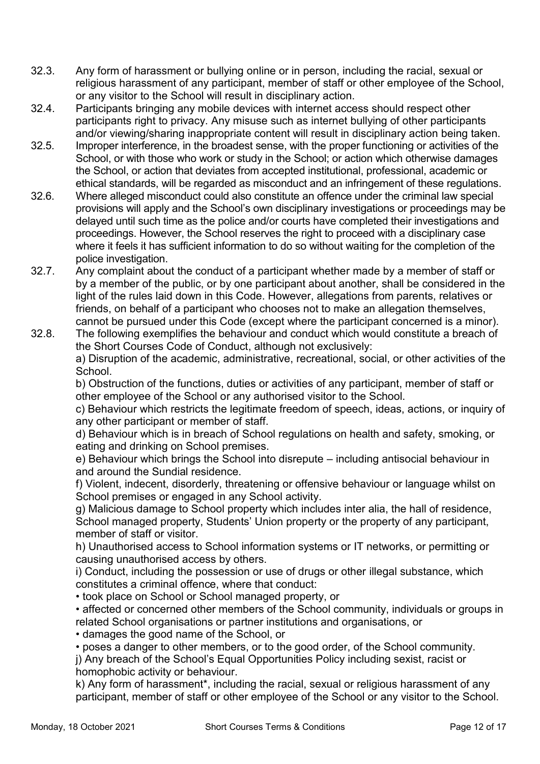- 32.3. Any form of harassment or bullying online or in person, including the racial, sexual or religious harassment of any participant, member of staff or other employee of the School, or any visitor to the School will result in disciplinary action.
- 32.4. Participants bringing any mobile devices with internet access should respect other participants right to privacy. Any misuse such as internet bullying of other participants and/or viewing/sharing inappropriate content will result in disciplinary action being taken.
- 32.5. Improper interference, in the broadest sense, with the proper functioning or activities of the School, or with those who work or study in the School; or action which otherwise damages the School, or action that deviates from accepted institutional, professional, academic or ethical standards, will be regarded as misconduct and an infringement of these regulations.
- 32.6. Where alleged misconduct could also constitute an offence under the criminal law special provisions will apply and the School's own disciplinary investigations or proceedings may be delayed until such time as the police and/or courts have completed their investigations and proceedings. However, the School reserves the right to proceed with a disciplinary case where it feels it has sufficient information to do so without waiting for the completion of the police investigation.
- 32.7. Any complaint about the conduct of a participant whether made by a member of staff or by a member of the public, or by one participant about another, shall be considered in the light of the rules laid down in this Code. However, allegations from parents, relatives or friends, on behalf of a participant who chooses not to make an allegation themselves, cannot be pursued under this Code (except where the participant concerned is a minor).
- 32.8. The following exemplifies the behaviour and conduct which would constitute a breach of the Short Courses Code of Conduct, although not exclusively: a) Disruption of the academic, administrative, recreational, social, or other activities of the School.

b) Obstruction of the functions, duties or activities of any participant, member of staff or other employee of the School or any authorised visitor to the School.

c) Behaviour which restricts the legitimate freedom of speech, ideas, actions, or inquiry of any other participant or member of staff.

d) Behaviour which is in breach of School regulations on health and safety, smoking, or eating and drinking on School premises.

e) Behaviour which brings the School into disrepute – including antisocial behaviour in and around the Sundial residence.

f) Violent, indecent, disorderly, threatening or offensive behaviour or language whilst on School premises or engaged in any School activity.

g) Malicious damage to School property which includes inter alia, the hall of residence, School managed property, Students' Union property or the property of any participant, member of staff or visitor.

h) Unauthorised access to School information systems or IT networks, or permitting or causing unauthorised access by others.

i) Conduct, including the possession or use of drugs or other illegal substance, which constitutes a criminal offence, where that conduct:

• took place on School or School managed property, or

• affected or concerned other members of the School community, individuals or groups in related School organisations or partner institutions and organisations, or

• damages the good name of the School, or

• poses a danger to other members, or to the good order, of the School community.

j) Any breach of the School's Equal Opportunities Policy including sexist, racist or homophobic activity or behaviour.

k) Any form of harassment\*, including the racial, sexual or religious harassment of any participant, member of staff or other employee of the School or any visitor to the School.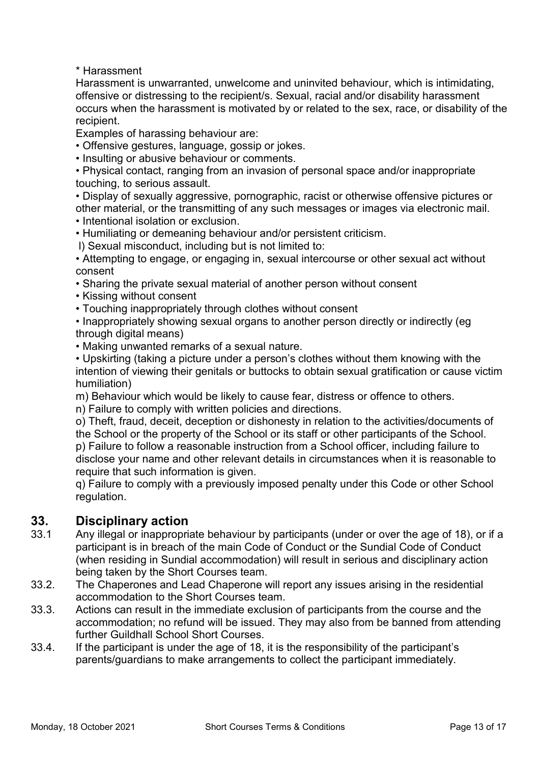\* Harassment

Harassment is unwarranted, unwelcome and uninvited behaviour, which is intimidating, offensive or distressing to the recipient/s. Sexual, racial and/or disability harassment occurs when the harassment is motivated by or related to the sex, race, or disability of the recipient.

Examples of harassing behaviour are:

• Offensive gestures, language, gossip or jokes.

• Insulting or abusive behaviour or comments.

• Physical contact, ranging from an invasion of personal space and/or inappropriate touching, to serious assault.

• Display of sexually aggressive, pornographic, racist or otherwise offensive pictures or other material, or the transmitting of any such messages or images via electronic mail. • Intentional isolation or exclusion.

• Humiliating or demeaning behaviour and/or persistent criticism.

l) Sexual misconduct, including but is not limited to:

• Attempting to engage, or engaging in, sexual intercourse or other sexual act without consent

• Sharing the private sexual material of another person without consent

• Kissing without consent

• Touching inappropriately through clothes without consent

• Inappropriately showing sexual organs to another person directly or indirectly (eg) through digital means)

• Making unwanted remarks of a sexual nature.

• Upskirting (taking a picture under a person's clothes without them knowing with the intention of viewing their genitals or buttocks to obtain sexual gratification or cause victim humiliation)

m) Behaviour which would be likely to cause fear, distress or offence to others.

n) Failure to comply with written policies and directions.

o) Theft, fraud, deceit, deception or dishonesty in relation to the activities/documents of the School or the property of the School or its staff or other participants of the School. p) Failure to follow a reasonable instruction from a School officer, including failure to disclose your name and other relevant details in circumstances when it is reasonable to require that such information is given.

q) Failure to comply with a previously imposed penalty under this Code or other School regulation.

#### **33. Disciplinary action**

- 33.1 Any illegal or inappropriate behaviour by participants (under or over the age of 18), or if a participant is in breach of the main Code of Conduct or the Sundial Code of Conduct (when residing in Sundial accommodation) will result in serious and disciplinary action being taken by the Short Courses team.
- 33.2. The Chaperones and Lead Chaperone will report any issues arising in the residential accommodation to the Short Courses team.
- 33.3. Actions can result in the immediate exclusion of participants from the course and the accommodation; no refund will be issued. They may also from be banned from attending further Guildhall School Short Courses.
- 33.4. If the participant is under the age of 18, it is the responsibility of the participant's parents/guardians to make arrangements to collect the participant immediately.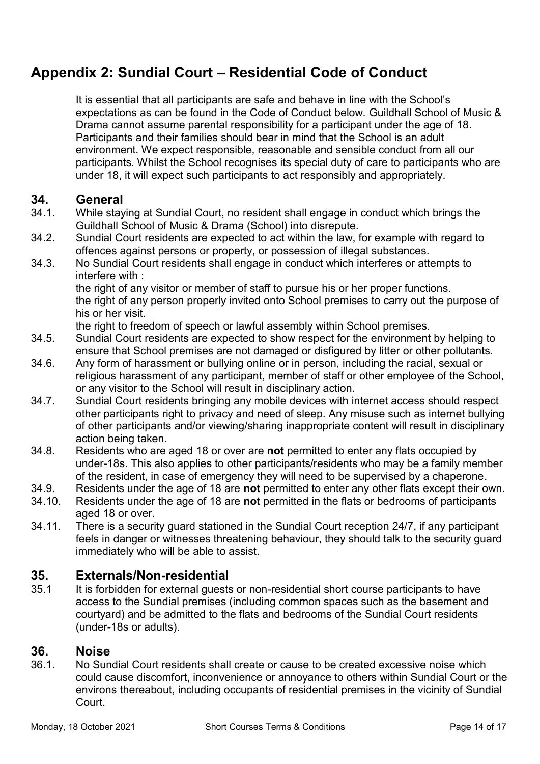# <span id="page-13-0"></span>**Appendix 2: Sundial Court – Residential Code of Conduct**

It is essential that all participants are safe and behave in line with the School's expectations as can be found in the Code of Conduct below. Guildhall School of Music & Drama cannot assume parental responsibility for a participant under the age of 18. Participants and their families should bear in mind that the School is an adult environment. We expect responsible, reasonable and sensible conduct from all our participants. Whilst the School recognises its special duty of care to participants who are under 18, it will expect such participants to act responsibly and appropriately.

#### **34. General**

- 34.1. While staying at Sundial Court, no resident shall engage in conduct which brings the Guildhall School of Music & Drama (School) into disrepute.
- 34.2. Sundial Court residents are expected to act within the law, for example with regard to offences against persons or property, or possession of illegal substances.
- 34.3. No Sundial Court residents shall engage in conduct which interferes or attempts to interfere with :

the right of any visitor or member of staff to pursue his or her proper functions. the right of any person properly invited onto School premises to carry out the purpose of his or her visit.

the right to freedom of speech or lawful assembly within School premises.

- 34.5. Sundial Court residents are expected to show respect for the environment by helping to ensure that School premises are not damaged or disfigured by litter or other pollutants.
- 34.6. Any form of harassment or bullying online or in person, including the racial, sexual or religious harassment of any participant, member of staff or other employee of the School, or any visitor to the School will result in disciplinary action.
- 34.7. Sundial Court residents bringing any mobile devices with internet access should respect other participants right to privacy and need of sleep. Any misuse such as internet bullying of other participants and/or viewing/sharing inappropriate content will result in disciplinary action being taken.
- 34.8. Residents who are aged 18 or over are **not** permitted to enter any flats occupied by under-18s. This also applies to other participants/residents who may be a family member of the resident, in case of emergency they will need to be supervised by a chaperone.
- 34.9. Residents under the age of 18 are **not** permitted to enter any other flats except their own.
- 34.10. Residents under the age of 18 are **not** permitted in the flats or bedrooms of participants aged 18 or over.
- 34.11. There is a security guard stationed in the Sundial Court reception 24/7, if any participant feels in danger or witnesses threatening behaviour, they should talk to the security guard immediately who will be able to assist.

#### **35. Externals/Non-residential**

35.1 It is forbidden for external guests or non-residential short course participants to have access to the Sundial premises (including common spaces such as the basement and courtyard) and be admitted to the flats and bedrooms of the Sundial Court residents (under-18s or adults).

#### **36. Noise**

36.1. No Sundial Court residents shall create or cause to be created excessive noise which could cause discomfort, inconvenience or annoyance to others within Sundial Court or the environs thereabout, including occupants of residential premises in the vicinity of Sundial **Court**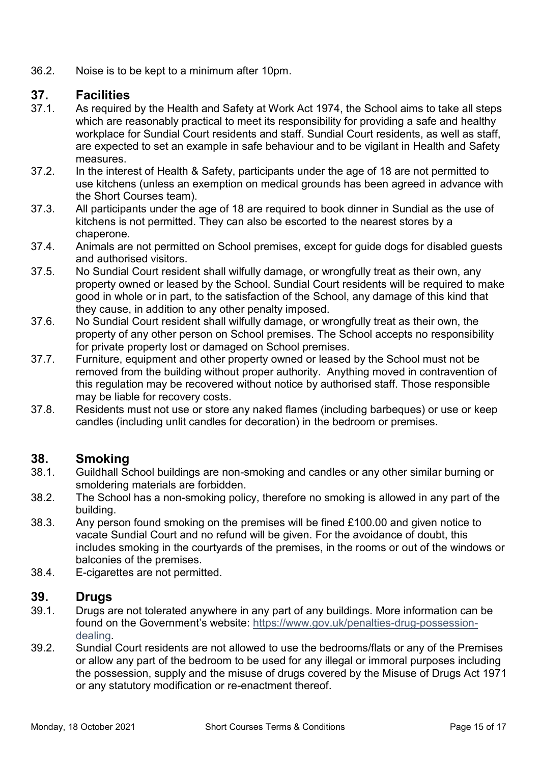36.2. Noise is to be kept to a minimum after 10pm.

#### **37. Facilities**

- 37.1. As required by the Health and Safety at Work Act 1974, the School aims to take all steps which are reasonably practical to meet its responsibility for providing a safe and healthy workplace for Sundial Court residents and staff. Sundial Court residents, as well as staff, are expected to set an example in safe behaviour and to be vigilant in Health and Safety measures.
- 37.2. In the interest of Health & Safety, participants under the age of 18 are not permitted to use kitchens (unless an exemption on medical grounds has been agreed in advance with the Short Courses team).
- 37.3. All participants under the age of 18 are required to book dinner in Sundial as the use of kitchens is not permitted. They can also be escorted to the nearest stores by a chaperone.
- 37.4. Animals are not permitted on School premises, except for guide dogs for disabled guests and authorised visitors.
- 37.5. No Sundial Court resident shall wilfully damage, or wrongfully treat as their own, any property owned or leased by the School. Sundial Court residents will be required to make good in whole or in part, to the satisfaction of the School, any damage of this kind that they cause, in addition to any other penalty imposed.
- 37.6. No Sundial Court resident shall wilfully damage, or wrongfully treat as their own, the property of any other person on School premises. The School accepts no responsibility for private property lost or damaged on School premises.
- 37.7. Furniture, equipment and other property owned or leased by the School must not be removed from the building without proper authority. Anything moved in contravention of this regulation may be recovered without notice by authorised staff. Those responsible may be liable for recovery costs.
- 37.8. Residents must not use or store any naked flames (including barbeques) or use or keep candles (including unlit candles for decoration) in the bedroom or premises.

#### **38. Smoking**

- 38.1. Guildhall School buildings are non-smoking and candles or any other similar burning or smoldering materials are forbidden.
- 38.2. The School has a non-smoking policy, therefore no smoking is allowed in any part of the building.
- 38.3. Any person found smoking on the premises will be fined £100.00 and given notice to vacate Sundial Court and no refund will be given. For the avoidance of doubt, this includes smoking in the courtyards of the premises, in the rooms or out of the windows or balconies of the premises.
- 38.4. E-cigarettes are not permitted.

#### **39. Drugs**

- 39.1. Drugs are not tolerated anywhere in any part of any buildings. More information can be found on the Government's website: [https://www.gov.uk/penalties-drug-possession](https://www.gov.uk/penalties-drug-possession-dealing)[dealing.](https://www.gov.uk/penalties-drug-possession-dealing)
- 39.2. Sundial Court residents are not allowed to use the bedrooms/flats or any of the Premises or allow any part of the bedroom to be used for any illegal or immoral purposes including the possession, supply and the misuse of drugs covered by the Misuse of Drugs Act 1971 or any statutory modification or re-enactment thereof.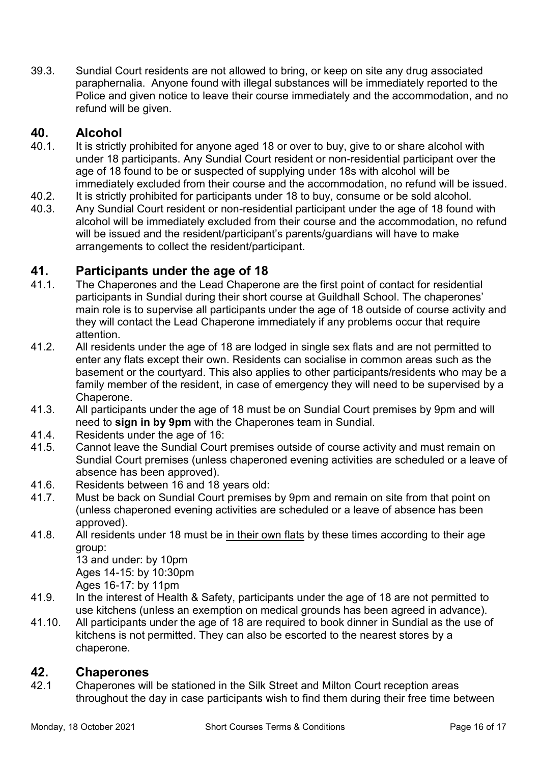39.3. Sundial Court residents are not allowed to bring, or keep on site any drug associated paraphernalia. Anyone found with illegal substances will be immediately reported to the Police and given notice to leave their course immediately and the accommodation, and no refund will be given.

#### **40. Alcohol**

- 40.1. It is strictly prohibited for anyone aged 18 or over to buy, give to or share alcohol with under 18 participants. Any Sundial Court resident or non-residential participant over the age of 18 found to be or suspected of supplying under 18s with alcohol will be immediately excluded from their course and the accommodation, no refund will be issued.
- 40.2. It is strictly prohibited for participants under 18 to buy, consume or be sold alcohol.
- 40.3. Any Sundial Court resident or non-residential participant under the age of 18 found with alcohol will be immediately excluded from their course and the accommodation, no refund will be issued and the resident/participant's parents/guardians will have to make arrangements to collect the resident/participant.

#### **41. Participants under the age of 18**

- 41.1. The Chaperones and the Lead Chaperone are the first point of contact for residential participants in Sundial during their short course at Guildhall School. The chaperones' main role is to supervise all participants under the age of 18 outside of course activity and they will contact the Lead Chaperone immediately if any problems occur that require attention.
- 41.2. All residents under the age of 18 are lodged in single sex flats and are not permitted to enter any flats except their own. Residents can socialise in common areas such as the basement or the courtyard. This also applies to other participants/residents who may be a family member of the resident, in case of emergency they will need to be supervised by a Chaperone.
- 41.3. All participants under the age of 18 must be on Sundial Court premises by 9pm and will need to **sign in by 9pm** with the Chaperones team in Sundial.
- 41.4. Residents under the age of 16:
- 41.5. Cannot leave the Sundial Court premises outside of course activity and must remain on Sundial Court premises (unless chaperoned evening activities are scheduled or a leave of absence has been approved).
- 41.6. Residents between 16 and 18 years old:
- 41.7. Must be back on Sundial Court premises by 9pm and remain on site from that point on (unless chaperoned evening activities are scheduled or a leave of absence has been approved).
- 41.8. All residents under 18 must be in their own flats by these times according to their age group:

13 and under: by 10pm Ages 14-15: by 10:30pm Ages 16-17: by 11pm

- 41.9. In the interest of Health & Safety, participants under the age of 18 are not permitted to use kitchens (unless an exemption on medical grounds has been agreed in advance).
- 41.10. All participants under the age of 18 are required to book dinner in Sundial as the use of kitchens is not permitted. They can also be escorted to the nearest stores by a chaperone.

#### **42. Chaperones**

42.1 Chaperones will be stationed in the Silk Street and Milton Court reception areas throughout the day in case participants wish to find them during their free time between